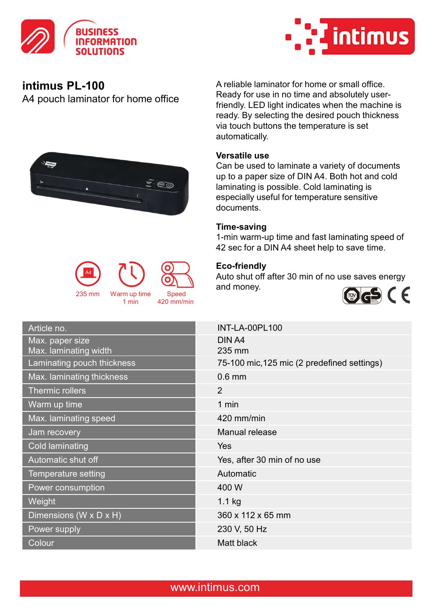



A4 pouch laminator for home office

235 mm

A reliable laminator for home or small office. Ready for use in no time and absolutely userfriendly. LED light indicates when the machine is ready. By selecting the desired pouch thickness via touch buttons the temperature is set automatically.

# Versatile use

Can be used to laminate a variety of documents up to a paper size of DIN A4. Both hot and cold laminating is possible. Cold laminating is especially useful for temperature sensitive documents.

### Time-saving

1-min warm-up time and fast laminating speed of 42 sec for a DIN A4 sheet help to save time.

# Eco-friendly

1 min 420 mm/min

Speed

<u>\*</u> 00

Auto shut off after 30 min of no use saves energy Warm up time Speed and money. A4



| Article no.                              | <b>INT-LA-00PL100</b>                       |
|------------------------------------------|---------------------------------------------|
| Max. paper size<br>Max. laminating width | DIN A4<br>235 mm                            |
| Laminating pouch thickness               | 75-100 mic, 125 mic (2 predefined settings) |
| Max. laminating thickness                | $0.6$ mm                                    |
| Thermic rollers                          | 2                                           |
| Warm up time                             | 1 min                                       |
| Max. laminating speed                    | 420 mm/min                                  |
| Jam recovery                             | Manual release                              |
| Cold laminating                          | <b>Yes</b>                                  |
| Automatic shut off                       | Yes, after 30 min of no use                 |
| Temperature setting                      | Automatic                                   |
| Power consumption                        | 400 W                                       |
| Weight                                   | $1.1$ kg                                    |
| Dimensions (W x D x H)                   | 360 x 112 x 65 mm                           |
| Power supply                             | 230 V, 50 Hz                                |
| Colour                                   | Matt black                                  |
|                                          |                                             |